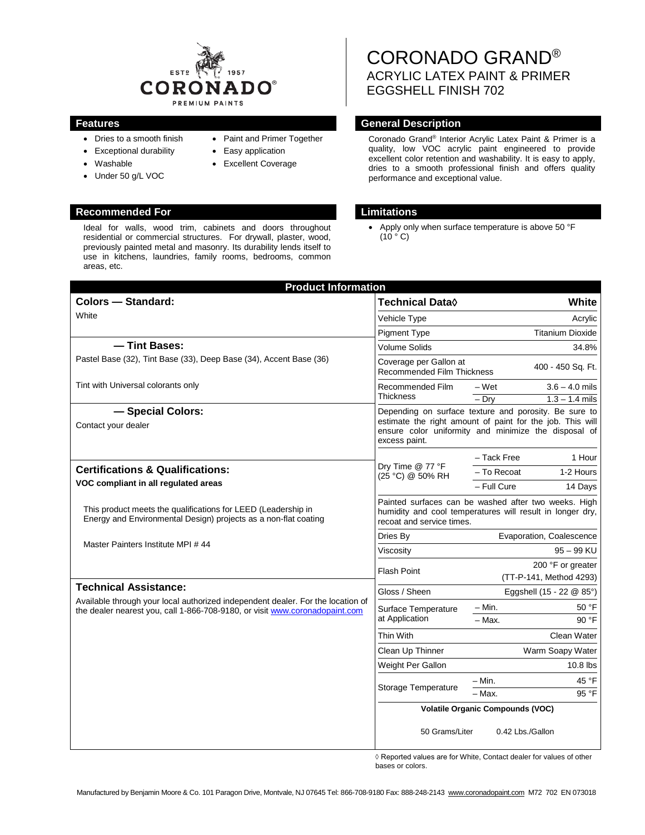

- Dries to a smooth finish
- Exceptional durability
- Washable
- Under 50 g/L VOC
- Excellent Coverage

• Easy application

• Paint and Primer Together

## **Recommended For Limitations**

Ideal for walls, wood trim, cabinets and doors throughout residential or commercial structures. For drywall, plaster, wood, previously painted metal and masonry. Its durability lends itself to use in kitchens, laundries, family rooms, bedrooms, common areas, etc.

# CORONADO GRAND® ACRYLIC LATEX PAINT & PRIMER EGGSHELL FINISH 702

## **Features General Description**

Coronado Grand® Interior Acrylic Latex Paint & Primer is a quality, low VOC acrylic paint engineered to provide excellent color retention and washability. It is easy to apply, dries to a smooth professional finish and offers quality performance and exceptional value.

Apply only when surface temperature is above 50 °F  $(10 \circ C)$ 

| <b>Product Information</b>                                                                                                                                                                     |                                                                                                                                                                                             |                                                 |                         |
|------------------------------------------------------------------------------------------------------------------------------------------------------------------------------------------------|---------------------------------------------------------------------------------------------------------------------------------------------------------------------------------------------|-------------------------------------------------|-------------------------|
| <b>Colors - Standard:</b>                                                                                                                                                                      | <b>Technical Data</b> ♦                                                                                                                                                                     |                                                 | <b>White</b>            |
| White                                                                                                                                                                                          | Vehicle Type                                                                                                                                                                                | Acrylic                                         |                         |
|                                                                                                                                                                                                | <b>Pigment Type</b>                                                                                                                                                                         |                                                 | <b>Titanium Dioxide</b> |
| - Tint Bases:                                                                                                                                                                                  | <b>Volume Solids</b>                                                                                                                                                                        |                                                 | 34.8%                   |
| Pastel Base (32), Tint Base (33), Deep Base (34), Accent Base (36)                                                                                                                             | Coverage per Gallon at                                                                                                                                                                      | 400 - 450 Sq. Ft.<br>Recommended Film Thickness |                         |
| Tint with Universal colorants only                                                                                                                                                             | Recommended Film<br><b>Thickness</b>                                                                                                                                                        | – Wet                                           | $3.6 - 4.0$ mils        |
|                                                                                                                                                                                                |                                                                                                                                                                                             | $-$ Drv                                         | $1.3 - 1.4$ mils        |
| - Special Colors:<br>Contact your dealer                                                                                                                                                       | Depending on surface texture and porosity. Be sure to<br>estimate the right amount of paint for the job. This will<br>ensure color uniformity and minimize the disposal of<br>excess paint. |                                                 |                         |
|                                                                                                                                                                                                | Dry Time @ 77 °F<br>(25 °C) @ 50% RH                                                                                                                                                        | - Tack Free                                     | 1 Hour                  |
| <b>Certifications &amp; Qualifications:</b>                                                                                                                                                    |                                                                                                                                                                                             | - To Recoat                                     | 1-2 Hours               |
| VOC compliant in all regulated areas                                                                                                                                                           |                                                                                                                                                                                             | - Full Cure                                     | 14 Days                 |
| This product meets the qualifications for LEED (Leadership in<br>Energy and Environmental Design) projects as a non-flat coating                                                               | Painted surfaces can be washed after two weeks. High<br>humidity and cool temperatures will result in longer dry,<br>recoat and service times.                                              |                                                 |                         |
| Master Painters Institute MPI #44                                                                                                                                                              | Dries By                                                                                                                                                                                    | Evaporation, Coalescence                        |                         |
|                                                                                                                                                                                                | Viscosity                                                                                                                                                                                   | $95 - 99$ KU                                    |                         |
|                                                                                                                                                                                                | <b>Flash Point</b>                                                                                                                                                                          | 200 °F or greater<br>(TT-P-141, Method 4293)    |                         |
| <b>Technical Assistance:</b><br>Available through your local authorized independent dealer. For the location of<br>the dealer nearest you, call 1-866-708-9180, or visit www.coronadopaint.com | Gloss / Sheen                                                                                                                                                                               | Eggshell (15 - 22 @ 85°)                        |                         |
|                                                                                                                                                                                                | Surface Temperature<br>at Application                                                                                                                                                       | $- Min.$                                        | 50 °F                   |
|                                                                                                                                                                                                |                                                                                                                                                                                             | - Max.                                          | 90 °F                   |
|                                                                                                                                                                                                | Thin With                                                                                                                                                                                   |                                                 | Clean Water             |
|                                                                                                                                                                                                | Clean Up Thinner                                                                                                                                                                            | Warm Soapy Water                                |                         |
|                                                                                                                                                                                                | Weight Per Gallon                                                                                                                                                                           | 10.8 lbs                                        |                         |
|                                                                                                                                                                                                | Storage Temperature                                                                                                                                                                         | – Min.                                          | 45 °F                   |
|                                                                                                                                                                                                |                                                                                                                                                                                             | $-$ Max.                                        | 95 °F                   |
|                                                                                                                                                                                                | <b>Volatile Organic Compounds (VOC)</b>                                                                                                                                                     |                                                 |                         |
|                                                                                                                                                                                                | 50 Grams/Liter<br>0.42 Lbs./Gallon                                                                                                                                                          |                                                 |                         |

◊ Reported values are for White, Contact dealer for values of other bases or colors.